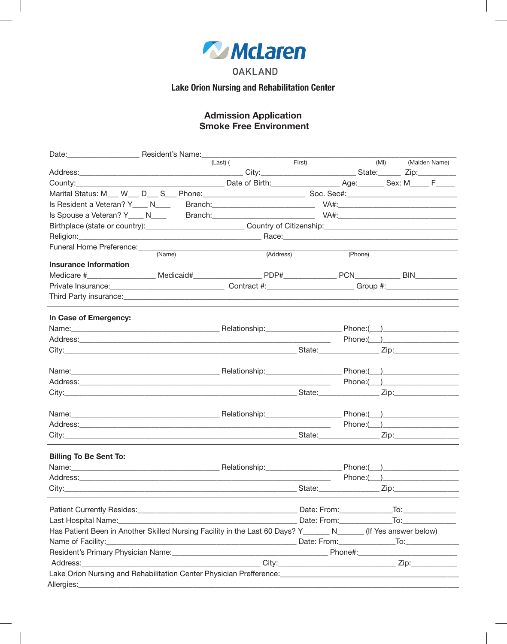

**OAKLAND** 

**Lake Orion Nursing and Rehabilitation Center** 

# **Admission Application<br>Smoke Free Environment**

|                                                                                                                                                                                                                                      |        | (Last) (  | First) |                                                                                                                                                                                                                                                          | (MI)               | (Maiden Name) |
|--------------------------------------------------------------------------------------------------------------------------------------------------------------------------------------------------------------------------------------|--------|-----------|--------|----------------------------------------------------------------------------------------------------------------------------------------------------------------------------------------------------------------------------------------------------------|--------------------|---------------|
|                                                                                                                                                                                                                                      |        |           |        |                                                                                                                                                                                                                                                          |                    |               |
|                                                                                                                                                                                                                                      |        |           |        |                                                                                                                                                                                                                                                          |                    |               |
|                                                                                                                                                                                                                                      |        |           |        |                                                                                                                                                                                                                                                          |                    |               |
|                                                                                                                                                                                                                                      |        |           |        |                                                                                                                                                                                                                                                          |                    |               |
|                                                                                                                                                                                                                                      |        |           |        |                                                                                                                                                                                                                                                          |                    |               |
|                                                                                                                                                                                                                                      |        |           |        |                                                                                                                                                                                                                                                          |                    |               |
|                                                                                                                                                                                                                                      |        |           |        |                                                                                                                                                                                                                                                          |                    |               |
|                                                                                                                                                                                                                                      | (Name) | (Address) |        | (Phone)                                                                                                                                                                                                                                                  |                    |               |
| <b>Insurance Information</b>                                                                                                                                                                                                         |        |           |        |                                                                                                                                                                                                                                                          |                    |               |
|                                                                                                                                                                                                                                      |        |           |        |                                                                                                                                                                                                                                                          |                    |               |
| Private Insurance: <u>Contract #: Contract #: Contract #: Contract #: Contract #: Contract #: Contract #: Contract #: Contract #: Contract #: Contract #: Contract #: Contract #: Contract #: Contract #: Contract #: Contract #</u> |        |           |        |                                                                                                                                                                                                                                                          |                    |               |
|                                                                                                                                                                                                                                      |        |           |        |                                                                                                                                                                                                                                                          |                    |               |
| In Case of Emergency:                                                                                                                                                                                                                |        |           |        |                                                                                                                                                                                                                                                          |                    |               |
|                                                                                                                                                                                                                                      |        |           |        |                                                                                                                                                                                                                                                          |                    |               |
|                                                                                                                                                                                                                                      |        |           |        |                                                                                                                                                                                                                                                          |                    |               |
|                                                                                                                                                                                                                                      |        |           |        |                                                                                                                                                                                                                                                          |                    |               |
|                                                                                                                                                                                                                                      |        |           |        |                                                                                                                                                                                                                                                          |                    |               |
|                                                                                                                                                                                                                                      |        |           |        |                                                                                                                                                                                                                                                          |                    |               |
|                                                                                                                                                                                                                                      |        |           |        |                                                                                                                                                                                                                                                          |                    |               |
|                                                                                                                                                                                                                                      |        |           |        |                                                                                                                                                                                                                                                          |                    |               |
|                                                                                                                                                                                                                                      |        |           |        |                                                                                                                                                                                                                                                          |                    |               |
|                                                                                                                                                                                                                                      |        |           |        | $Phone: ($ and $)$ and  and $()$ and $()$ and $()$ and $()$ and $()$ and $()$ and $()$ and $()$ and $()$ and $()$ and $()$ and $()$ and $()$ and $()$ and $()$ and $()$ and $()$ and $()$ and $()$ and $()$ and $()$ and $()$ and $()$ and $()$ and $()$ |                    |               |
|                                                                                                                                                                                                                                      |        |           |        |                                                                                                                                                                                                                                                          |                    |               |
| <b>Billing To Be Sent To:</b>                                                                                                                                                                                                        |        |           |        |                                                                                                                                                                                                                                                          |                    |               |
|                                                                                                                                                                                                                                      |        |           |        |                                                                                                                                                                                                                                                          |                    |               |
|                                                                                                                                                                                                                                      |        |           |        | Phone: ( )                                                                                                                                                                                                                                               |                    |               |
|                                                                                                                                                                                                                                      |        |           | State: |                                                                                                                                                                                                                                                          | Zip:______________ |               |
|                                                                                                                                                                                                                                      |        |           |        |                                                                                                                                                                                                                                                          |                    |               |
|                                                                                                                                                                                                                                      |        |           |        |                                                                                                                                                                                                                                                          |                    |               |
| Has Patient Been in Another Skilled Nursing Facility in the Last 60 Days? Y_______ N______ (If Yes answer below)                                                                                                                     |        |           |        |                                                                                                                                                                                                                                                          |                    |               |
|                                                                                                                                                                                                                                      |        |           |        |                                                                                                                                                                                                                                                          |                    |               |
|                                                                                                                                                                                                                                      |        |           |        |                                                                                                                                                                                                                                                          |                    |               |
| Address:                                                                                                                                                                                                                             |        |           |        |                                                                                                                                                                                                                                                          |                    |               |
| Lake Orion Nursing and Rehabilitation Center Physician Prefference: [19] [2010] The Christmann Preference: [19                                                                                                                       |        |           |        |                                                                                                                                                                                                                                                          |                    |               |
| Allergies:                                                                                                                                                                                                                           |        |           |        |                                                                                                                                                                                                                                                          |                    |               |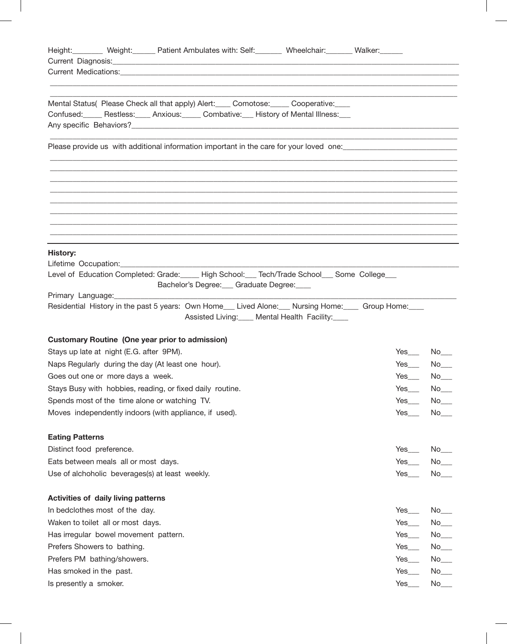| Height: Weight: Weight: Patient Ambulates with: Self: Wheelchair: Walker: Welser:<br>Current Medications: New York Structure and Structure and Structure and Structure and Structure and Structure and Structure and Structure and Structure and Structure and Structure and Structure and Structure and Structure |                                               |
|--------------------------------------------------------------------------------------------------------------------------------------------------------------------------------------------------------------------------------------------------------------------------------------------------------------------|-----------------------------------------------|
|                                                                                                                                                                                                                                                                                                                    |                                               |
| Mental Status( Please Check all that apply) Alert: Comotose: Cooperative:<br>Confused: Restless: Anxious: Combative: History of Mental Illness:                                                                                                                                                                    |                                               |
| Please provide us with additional information important in the care for your loved one: ______________________                                                                                                                                                                                                     |                                               |
|                                                                                                                                                                                                                                                                                                                    |                                               |
|                                                                                                                                                                                                                                                                                                                    |                                               |
|                                                                                                                                                                                                                                                                                                                    |                                               |
| <b>History:</b><br>Lifetime Occupation:___________<br>Level of Education Completed: Grade: _____ High School: ___ Tech/Trade School___ Some College___                                                                                                                                                             |                                               |
| Bachelor's Degree: Graduate Degree:                                                                                                                                                                                                                                                                                |                                               |
| Residential History in the past 5 years: Own Home___ Lived Alone:___ Nursing Home:____ Group Home:___<br>Assisted Living: Mental Health Facility:                                                                                                                                                                  |                                               |
| <b>Customary Routine (One year prior to admission)</b>                                                                                                                                                                                                                                                             |                                               |
| Stays up late at night (E.G. after 9PM).                                                                                                                                                                                                                                                                           | $Yes$ No $N$                                  |
| Naps Regularly during the day (At least one hour).                                                                                                                                                                                                                                                                 | Yes                                           |
| Goes out one or more days a week.                                                                                                                                                                                                                                                                                  | $Yes$ $\qquad$                                |
| Stays Busy with hobbies, reading, or fixed daily routine.                                                                                                                                                                                                                                                          | $Yes$ <sub>___</sub><br>No                    |
| Spends most of the time alone or watching TV.                                                                                                                                                                                                                                                                      | $Yes$ <sub>___</sub><br>$No$ <sub>___</sub>   |
| Moves independently indoors (with appliance, if used).                                                                                                                                                                                                                                                             | $Yes$ <sub>____</sub>                         |
| <b>Eating Patterns</b>                                                                                                                                                                                                                                                                                             |                                               |
| Distinct food preference.                                                                                                                                                                                                                                                                                          | $Yes$ <sub>____</sub>                         |
| Eats between meals all or most days.                                                                                                                                                                                                                                                                               | Yes<br>$No$ <sub>____</sub>                   |
| Use of alchoholic beverages(s) at least weekly.                                                                                                                                                                                                                                                                    | $Yes$ <sub>___</sub><br>$No$ <sub>____</sub>  |
| <b>Activities of daily living patterns</b>                                                                                                                                                                                                                                                                         |                                               |
| In bedclothes most of the day.                                                                                                                                                                                                                                                                                     | $Yes$ <sub>____</sub>                         |
| Waken to toilet all or most days.                                                                                                                                                                                                                                                                                  | $Yes$ <sub>____</sub><br>$No$ <sub>____</sub> |
| Has irregular bowel movement pattern.                                                                                                                                                                                                                                                                              | Yes                                           |
| Prefers Showers to bathing.                                                                                                                                                                                                                                                                                        | $Yes$ <sub>___</sub><br>$No$ <sub>____</sub>  |
| Prefers PM bathing/showers.                                                                                                                                                                                                                                                                                        | $Yes$ <sub>___</sub>                          |
| Has smoked in the past.                                                                                                                                                                                                                                                                                            | $Yes$ <sub>___</sub>                          |
| Is presently a smoker.                                                                                                                                                                                                                                                                                             | $No$ <sub>____</sub><br>$Yes$ <sub>___</sub>  |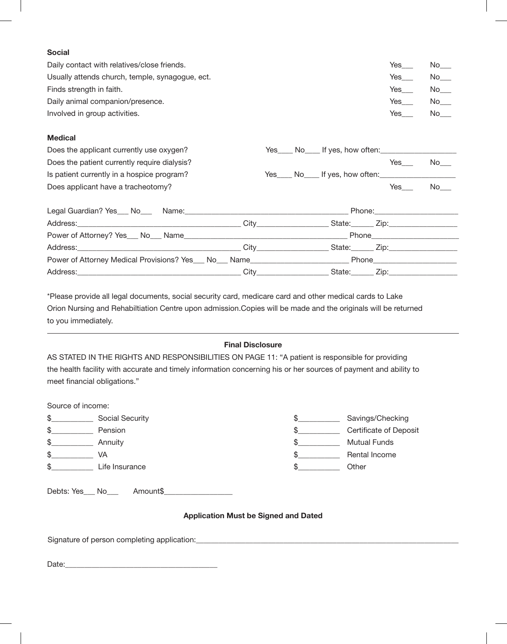## **Social**

| Daily contact with relatives/close friends.     | Yes | No.       |
|-------------------------------------------------|-----|-----------|
| Usually attends church, temple, synagogue, ect. | Yes | No l      |
| Finds strength in faith.                        | Yes | $No$ ____ |
| Daily animal companion/presence.                | Yes | No l      |
| Involved in group activities.                   | Yes | No.       |

#### **Medical**

-

| Does the applicant currently use oxygen?                                                                      |  |                              |     |                                 |
|---------------------------------------------------------------------------------------------------------------|--|------------------------------|-----|---------------------------------|
| Does the patient currently require dialysis?                                                                  |  |                              | Yes | No l                            |
| Is patient currently in a hospice program?                                                                    |  | Yes No If yes, how often:    |     |                                 |
| Does applicant have a tracheotomy?                                                                            |  |                              | Yes | No l                            |
|                                                                                                               |  |                              |     | Phone: ________________________ |
|                                                                                                               |  |                              |     |                                 |
|                                                                                                               |  |                              |     |                                 |
|                                                                                                               |  |                              |     |                                 |
| Power of Attorney Medical Provisions? Yes___ No___ Name__________________________ Phone______________________ |  |                              |     |                                 |
|                                                                                                               |  | State: <u>Cip: Zip:</u> 210. |     |                                 |

\*Please provide all legal documents, social security card, medicare card and other medical cards to Lake Orion Nursing and Rehabiltiation Centre upon admission.Copies will be made and the originals will be returned to you immediately.

### **Final Disclosure**

AS STATED IN THE RIGHTS AND RESPONSIBILITIES ON PAGE 11: "A patient is responsible for providing the health facility with accurate and timely information concerning his or her sources of payment and ability to meet financial obligations."

| Source of income: |                 |     |                        |
|-------------------|-----------------|-----|------------------------|
| \$                | Social Security | \$  | Savings/Checking       |
| \$                | Pension         | \$. | Certificate of Deposit |
| \$                | Annuity         | \$. | <b>Mutual Funds</b>    |
| \$                | VA              | S   | Rental Income          |
| \$                | Life Insurance  |     | Other                  |
|                   |                 |     |                        |
| Debts: Yes No     | Amount\$        |     |                        |
|                   |                 |     |                        |

#### **Application Must be Signed and Dated**

Signature of person completing application:\_\_\_\_\_\_\_\_\_\_\_\_\_\_\_\_\_\_\_\_\_\_\_\_\_\_\_\_\_\_\_\_\_\_\_\_\_\_\_\_\_\_\_\_\_\_\_\_\_\_\_\_\_\_\_\_\_\_\_\_\_\_\_\_\_\_\_\_\_

Date: